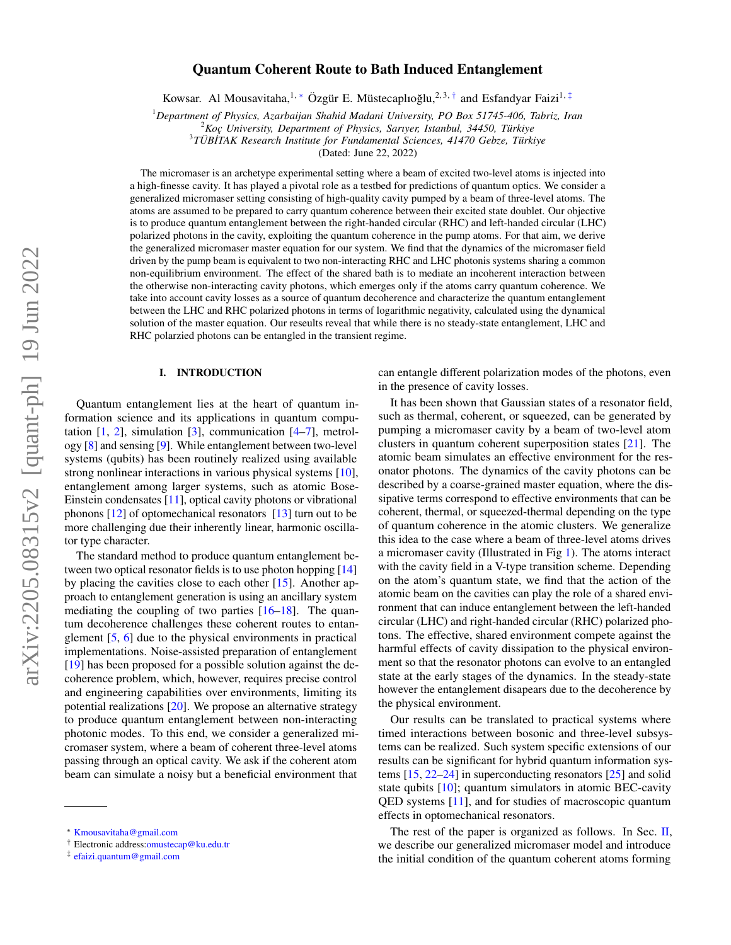# Quantum Coherent Route to Bath Induced Entanglement

Kowsar. Al Mousavitaha,<sup>1,\*</sup> Özgür E. Müstecaplıoğlu,<sup>2,3,[†](#page-0-1)</sup> and Esfandyar Faizi<sup>1,[‡](#page-0-2)</sup>

<sup>1</sup>*Department of Physics, Azarbaijan Shahid Madani University, PO Box 51745-406, Tabriz, Iran*

<sup>2</sup>*Koç University, Department of Physics, Sarıyer, Istanbul, 34450, Türkiye*

3 *TÜB˙ITAK Research Institute for Fundamental Sciences, 41470 Gebze, Türkiye*

(Dated: June 22, 2022)

The micromaser is an archetype experimental setting where a beam of excited two-level atoms is injected into a high-finesse cavity. It has played a pivotal role as a testbed for predictions of quantum optics. We consider a generalized micromaser setting consisting of high-quality cavity pumped by a beam of three-level atoms. The atoms are assumed to be prepared to carry quantum coherence between their excited state doublet. Our objective is to produce quantum entanglement between the right-handed circular (RHC) and left-handed circular (LHC) polarized photons in the cavity, exploiting the quantum coherence in the pump atoms. For that aim, we derive the generalized micromaser master equation for our system. We find that the dynamics of the micromaser field driven by the pump beam is equivalent to two non-interacting RHC and LHC photonis systems sharing a common non-equilibrium environment. The effect of the shared bath is to mediate an incoherent interaction between the otherwise non-interacting cavity photons, which emerges only if the atoms carry quantum coherence. We take into account cavity losses as a source of quantum decoherence and characterize the quantum entanglement between the LHC and RHC polarized photons in terms of logarithmic negativity, calculated using the dynamical solution of the master equation. Our reseults reveal that while there is no steady-state entanglement, LHC and RHC polarzied photons can be entangled in the transient regime.

# I. INTRODUCTION

Quantum entanglement lies at the heart of quantum information science and its applications in quantum computation  $[1, 2]$  $[1, 2]$  $[1, 2]$ , simulation  $[3]$ , communication  $[4-7]$  $[4-7]$ , metrology [\[8\]](#page-5-1) and sensing [\[9\]](#page-5-2). While entanglement between two-level systems (qubits) has been routinely realized using available strong nonlinear interactions in various physical systems [\[10\]](#page-5-3), entanglement among larger systems, such as atomic Bose-Einstein condensates [\[11\]](#page-5-4), optical cavity photons or vibrational phonons [\[12\]](#page-5-5) of optomechanical resonators [\[13\]](#page-5-6) turn out to be more challenging due their inherently linear, harmonic oscillator type character.

The standard method to produce quantum entanglement between two optical resonator fields is to use photon hopping [\[14\]](#page-5-7) by placing the cavities close to each other  $[15]$ . Another approach to entanglement generation is using an ancillary system mediating the coupling of two parties [\[16–](#page-5-9)[18\]](#page-5-10). The quantum decoherence challenges these coherent routes to entanglement [\[5,](#page-4-4) [6\]](#page-4-5) due to the physical environments in practical implementations. Noise-assisted preparation of entanglement [\[19\]](#page-5-11) has been proposed for a possible solution against the decoherence problem, which, however, requires precise control and engineering capabilities over environments, limiting its potential realizations [\[20\]](#page-5-12). We propose an alternative strategy to produce quantum entanglement between non-interacting photonic modes. To this end, we consider a generalized micromaser system, where a beam of coherent three-level atoms passing through an optical cavity. We ask if the coherent atom beam can simulate a noisy but a beneficial environment that can entangle different polarization modes of the photons, even in the presence of cavity losses.

It has been shown that Gaussian states of a resonator field, such as thermal, coherent, or squeezed, can be generated by pumping a micromaser cavity by a beam of two-level atom clusters in quantum coherent superposition states [\[21\]](#page-5-13). The atomic beam simulates an effective environment for the resonator photons. The dynamics of the cavity photons can be described by a coarse-grained master equation, where the dissipative terms correspond to effective environments that can be coherent, thermal, or squeezed-thermal depending on the type of quantum coherence in the atomic clusters. We generalize this idea to the case where a beam of three-level atoms drives a micromaser cavity (Illustrated in Fig [1\)](#page-1-0). The atoms interact with the cavity field in a V-type transition scheme. Depending on the atom's quantum state, we find that the action of the atomic beam on the cavities can play the role of a shared environment that can induce entanglement between the left-handed circular (LHC) and right-handed circular (RHC) polarized photons. The effective, shared environment compete against the harmful effects of cavity dissipation to the physical environment so that the resonator photons can evolve to an entangled state at the early stages of the dynamics. In the steady-state however the entanglement disapears due to the decoherence by the physical environment.

Our results can be translated to practical systems where timed interactions between bosonic and three-level subsystems can be realized. Such system specific extensions of our results can be significant for hybrid quantum information systems [\[15,](#page-5-8) [22](#page-5-14)[–24\]](#page-5-15) in superconducting resonators [\[25\]](#page-5-16) and solid state qubits [\[10\]](#page-5-3); quantum simulators in atomic BEC-cavity QED systems [\[11\]](#page-5-4), and for studies of macroscopic quantum effects in optomechanical resonators.

The rest of the paper is organized as follows. In Sec.  $II$ , we describe our generalized micromaser model and introduce the initial condition of the quantum coherent atoms forming

<span id="page-0-0"></span><sup>∗</sup> [Kmousavitaha@gmail.com](mailto:Kmousavitaha@gmail.com)

<span id="page-0-1"></span><sup>†</sup> Electronic address[:omustecap@ku.edu.tr](mailto:omustecap@ku.edu.tr)

<span id="page-0-2"></span><sup>‡</sup> [efaizi.quantum@gmail.com](mailto:efaizi.quantum@gmail.com)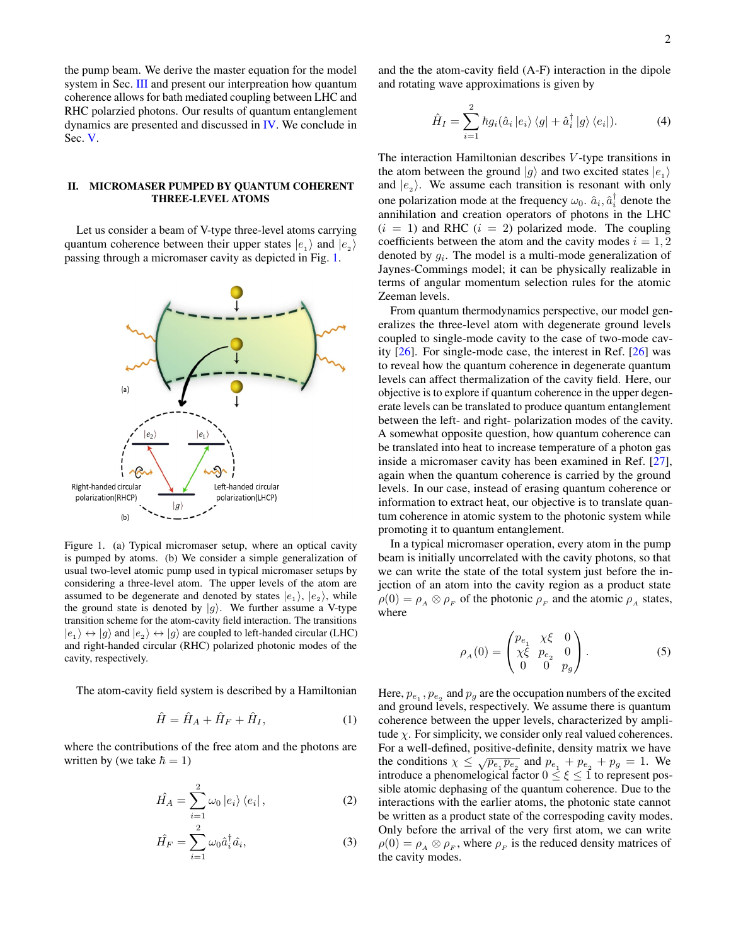the pump beam. We derive the master equation for the model system in Sec. [III](#page-2-0) and present our interpreation how quantum coherence allows for bath mediated coupling between LHC and RHC polarzied photons. Our results of quantum entanglement dynamics are presented and discussed in [IV.](#page-3-0) We conclude in Sec. [V.](#page-4-6)

### <span id="page-1-1"></span>II. MICROMASER PUMPED BY QUANTUM COHERENT THREE-LEVEL ATOMS

Let us consider a beam of V-type three-level atoms carrying quantum coherence between their upper states  $|e_1\rangle$  and  $|e_2\rangle$ passing through a micromaser cavity as depicted in Fig. [1.](#page-1-0)



<span id="page-1-0"></span>Figure 1. (a) Typical micromaser setup, where an optical cavity is pumped by atoms. (b) We consider a simple generalization of usual two-level atomic pump used in typical micromaser setups by considering a three-level atom. The upper levels of the atom are assumed to be degenerate and denoted by states  $|e_1\rangle, |e_2\rangle$ , while the ground state is denoted by  $|g\rangle$ . We further assume a V-type transition scheme for the atom-cavity field interaction. The transitions  $|e_1\rangle \leftrightarrow |g\rangle$  and  $|e_2\rangle \leftrightarrow |g\rangle$  are coupled to left-handed circular (LHC) and right-handed circular (RHC) polarized photonic modes of the cavity, respectively.

The atom-cavity field system is described by a Hamiltonian

$$
\hat{H} = \hat{H}_A + \hat{H}_F + \hat{H}_I, \tag{1}
$$

where the contributions of the free atom and the photons are written by (we take  $\hbar = 1$ )

$$
\hat{H_A} = \sum_{i=1}^{2} \omega_0 \left| e_i \right\rangle \left\langle e_i \right|, \tag{2}
$$

$$
\hat{H_F} = \sum_{i=1}^{2} \omega_0 \hat{a}_i^{\dagger} \hat{a}_i, \tag{3}
$$

and the the atom-cavity field (A-F) interaction in the dipole and rotating wave approximations is given by

$$
\hat{H}_I = \sum_{i=1}^2 \hbar g_i(\hat{a}_i | e_i \rangle \langle g | + \hat{a}_i^\dagger | g \rangle \langle e_i |).
$$
 (4)

The interaction Hamiltonian describes *V* -type transitions in the atom between the ground  $|g\rangle$  and two excited states  $|e_1\rangle$ and  $|e_2\rangle$ . We assume each transition is resonant with only one polarization mode at the frequency  $\omega_0$ .  $\hat{a}_i$ ,  $\hat{a}_i^{\dagger}$  denote the annihilation and creation operators of photons in the LHC  $(i = 1)$  and RHC  $(i = 2)$  polarized mode. The coupling coefficients between the atom and the cavity modes  $i = 1, 2$ denoted by *g<sup>i</sup>* . The model is a multi-mode generalization of Jaynes-Commings model; it can be physically realizable in terms of angular momentum selection rules for the atomic Zeeman levels.

From quantum thermodynamics perspective, our model generalizes the three-level atom with degenerate ground levels coupled to single-mode cavity to the case of two-mode cavity [\[26\]](#page-5-17). For single-mode case, the interest in Ref. [\[26\]](#page-5-17) was to reveal how the quantum coherence in degenerate quantum levels can affect thermalization of the cavity field. Here, our objective is to explore if quantum coherence in the upper degenerate levels can be translated to produce quantum entanglement between the left- and right- polarization modes of the cavity. A somewhat opposite question, how quantum coherence can be translated into heat to increase temperature of a photon gas inside a micromaser cavity has been examined in Ref. [\[27\]](#page-5-18), again when the quantum coherence is carried by the ground levels. In our case, instead of erasing quantum coherence or information to extract heat, our objective is to translate quantum coherence in atomic system to the photonic system while promoting it to quantum entanglement.

In a typical micromaser operation, every atom in the pump beam is initially uncorrelated with the cavity photons, so that we can write the state of the total system just before the injection of an atom into the cavity region as a product state  $\rho(0) = \rho_A \otimes \rho_F$  of the photonic  $\rho_F$  and the atomic  $\rho_A$  states, where

$$
\rho_A(0) = \begin{pmatrix} p_{e_1} & \chi \xi & 0 \\ \chi \xi & p_{e_2} & 0 \\ 0 & 0 & p_g \end{pmatrix} . \tag{5}
$$

Here,  $p_{e_1}$ ,  $p_{e_2}$  and  $p_g$  are the occupation numbers of the excited and ground levels, respectively. We assume there is quantum coherence between the upper levels, characterized by amplitude  $\chi$ . For simplicity, we consider only real valued coherences. For a well-defined, positive-definite, density matrix we have the conditions  $\chi \leq \sqrt{p_{e_1}p_{e_2}}$  and  $p_{e_1} + p_{e_2} + p_g = 1$ . We introduce a phenomelogical factor  $0 \leq \xi \leq 1$  to represent possible atomic dephasing of the quantum coherence. Due to the interactions with the earlier atoms, the photonic state cannot be written as a product state of the correspoding cavity modes. Only before the arrival of the very first atom, we can write  $\rho(0) = \rho_A \otimes \rho_F$ , where  $\rho_F$  is the reduced density matrices of the cavity modes.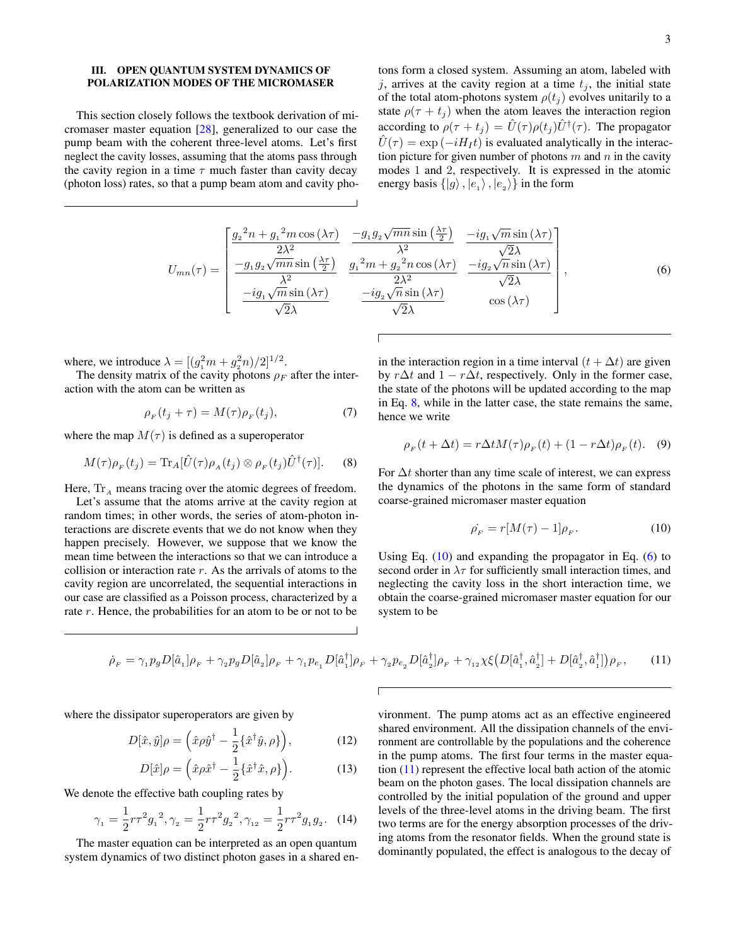## <span id="page-2-0"></span>III. OPEN QUANTUM SYSTEM DYNAMICS OF POLARIZATION MODES OF THE MICROMASER

This section closely follows the textbook derivation of micromaser master equation [\[28\]](#page-5-19), generalized to our case the pump beam with the coherent three-level atoms. Let's first neglect the cavity losses, assuming that the atoms pass through the cavity region in a time  $\tau$  much faster than cavity decay (photon loss) rates, so that a pump beam atom and cavity photons form a closed system. Assuming an atom, labeled with *j*, arrives at the cavity region at a time  $t<sub>i</sub>$ , the initial state of the total atom-photons system  $\rho(t_i)$  evolves unitarily to a state  $\rho(\tau + t_j)$  when the atom leaves the interaction region according to  $\rho(\tau + t_j) = \hat{U}(\tau) \rho(t_j) \hat{U}^{\dagger}(\tau)$ . The propagator  $U(\tau) = \exp(-iH_I t)$  is evaluated analytically in the interaction picture for given number of photons *m* and *n* in the cavity modes 1 and 2, respectively. It is expressed in the atomic energy basis  $\{|g\rangle, |e_1\rangle, |e_2\rangle\}$  in the form

<span id="page-2-3"></span>
$$
U_{mn}(\tau) = \begin{bmatrix} \frac{g_2{}^2 n + g_1{}^2 m \cos(\lambda \tau)}{2\lambda^2} & \frac{-g_1 g_2 \sqrt{mn} \sin(\frac{\lambda \tau}{2})}{\lambda^2} & \frac{-ig_1 \sqrt{m} \sin(\lambda \tau)}{\sqrt{2}\lambda} \\ \frac{-g_1 g_2 \sqrt{mn} \sin(\frac{\lambda \tau}{2})}{\lambda^2} & \frac{g_1{}^2 m + g_2{}^2 n \cos(\lambda \tau)}{2\lambda^2} & \frac{-ig_2 \sqrt{n} \sin(\lambda \tau)}{\sqrt{2}\lambda} \\ \frac{-ig_1 \sqrt{m} \sin(\lambda \tau)}{\sqrt{2}\lambda} & \frac{-ig_2 \sqrt{n} \sin(\lambda \tau)}{\sqrt{2}\lambda} & \cos(\lambda \tau) \end{bmatrix},
$$
(6)

where, we introduce  $\lambda = [(g_1^2 m + g_2^2 n)/2]^{1/2}$ .

The density matrix of the cavity photons  $\rho_F$  after the interaction with the atom can be written as

$$
\rho_F(t_j + \tau) = M(\tau)\rho_F(t_j),\tag{7}
$$

where the map  $M(\tau)$  is defined as a superoperator

<span id="page-2-1"></span>
$$
M(\tau)\rho_F(t_j) = \text{Tr}_A[\hat{U}(\tau)\rho_A(t_j) \otimes \rho_F(t_j)\hat{U}^{\dagger}(\tau)].
$$
 (8)

Here,  $\text{Tr}_{A}$  means tracing over the atomic degrees of freedom.

Let's assume that the atoms arrive at the cavity region at random times; in other words, the series of atom-photon interactions are discrete events that we do not know when they happen precisely. However, we suppose that we know the mean time between the interactions so that we can introduce a collision or interaction rate *r*. As the arrivals of atoms to the cavity region are uncorrelated, the sequential interactions in our case are classified as a Poisson process, characterized by a rate *r*. Hence, the probabilities for an atom to be or not to be

in the interaction region in a time interval  $(t + \Delta t)$  are given by  $r\Delta t$  and  $1 - r\Delta t$ , respectively. Only in the former case, the state of the photons will be updated according to the map in Eq. [8,](#page-2-1) while in the latter case, the state remains the same, hence we write

$$
\rho_F(t + \Delta t) = r \Delta t M(\tau) \rho_F(t) + (1 - r \Delta t) \rho_F(t). \quad (9)
$$

For ∆*t* shorter than any time scale of interest, we can express the dynamics of the photons in the same form of standard coarse-grained micromaser master equation

<span id="page-2-2"></span>
$$
\dot{\rho_F} = r[M(\tau) - 1]\rho_F. \tag{10}
$$

Using Eq.  $(10)$  and expanding the propagator in Eq.  $(6)$  to second order in  $\lambda \tau$  for sufficiently small interaction times, and neglecting the cavity loss in the short interaction time, we obtain the coarse-grained micromaser master equation for our system to be

<span id="page-2-4"></span>
$$
\dot{\rho}_F = \gamma_1 p_g D[\hat{a}_1] \rho_F + \gamma_2 p_g D[\hat{a}_2] \rho_F + \gamma_1 p_{e_1} D[\hat{a}_1^{\dagger}] \rho_F + \gamma_2 p_{e_2} D[\hat{a}_2^{\dagger}] \rho_F + \gamma_{12} \chi \xi \left( D[\hat{a}_1^{\dagger}, \hat{a}_2^{\dagger}] + D[\hat{a}_2^{\dagger}, \hat{a}_1^{\dagger}] \right) \rho_F, \tag{11}
$$

where the dissipator superoperators are given by

$$
D[\hat{x}, \hat{y}]\rho = \left(\hat{x}\rho\hat{y}^{\dagger} - \frac{1}{2}\{\hat{x}^{\dagger}\hat{y}, \rho\}\right),\tag{12}
$$

$$
D[\hat{x}]\rho = (\hat{x}\rho \hat{x}^{\dagger} - \frac{1}{2} \{\hat{x}^{\dagger}\hat{x}, \rho\}).
$$
 (13)

We denote the effective bath coupling rates by

$$
\gamma_1 = \frac{1}{2} r \tau^2 g_1^2, \gamma_2 = \frac{1}{2} r \tau^2 g_2^2, \gamma_{12} = \frac{1}{2} r \tau^2 g_1 g_2. \tag{14}
$$

The master equation can be interpreted as an open quantum system dynamics of two distinct photon gases in a shared en-

vironment. The pump atoms act as an effective engineered shared environment. All the dissipation channels of the environment are controllable by the populations and the coherence in the pump atoms. The first four terms in the master equation [\(11\)](#page-2-4) represent the effective local bath action of the atomic beam on the photon gases. The local dissipation channels are controlled by the initial population of the ground and upper levels of the three-level atoms in the driving beam. The first two terms are for the energy absorption processes of the driving atoms from the resonator fields. When the ground state is dominantly populated, the effect is analogous to the decay of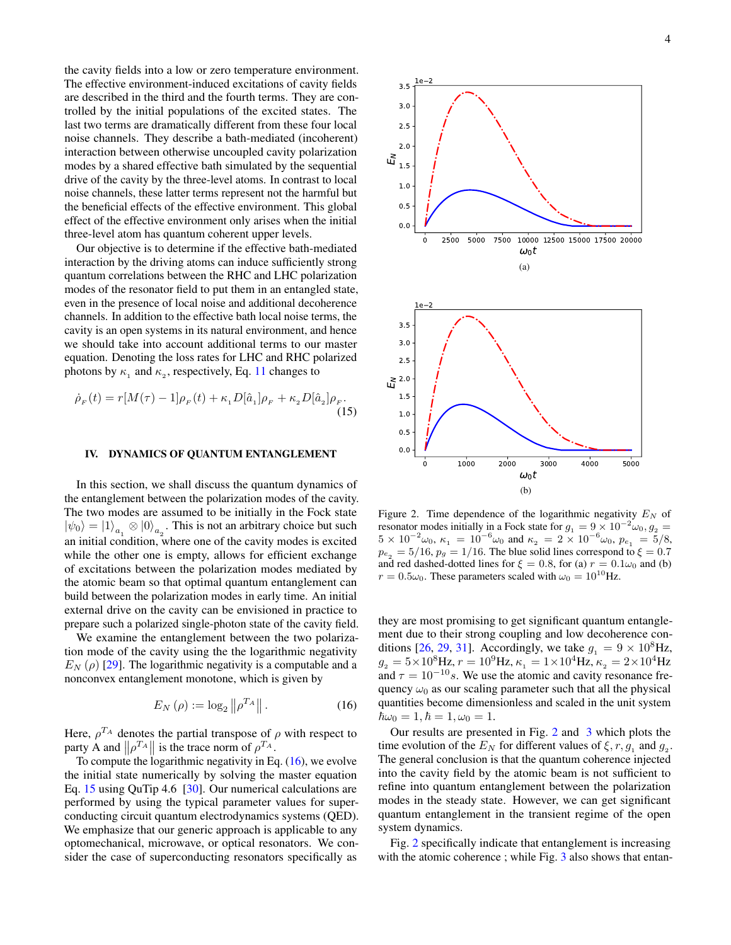the cavity fields into a low or zero temperature environment. The effective environment-induced excitations of cavity fields are described in the third and the fourth terms. They are controlled by the initial populations of the excited states. The last two terms are dramatically different from these four local noise channels. They describe a bath-mediated (incoherent) interaction between otherwise uncoupled cavity polarization modes by a shared effective bath simulated by the sequential drive of the cavity by the three-level atoms. In contrast to local noise channels, these latter terms represent not the harmful but the beneficial effects of the effective environment. This global effect of the effective environment only arises when the initial three-level atom has quantum coherent upper levels.

Our objective is to determine if the effective bath-mediated interaction by the driving atoms can induce sufficiently strong quantum correlations between the RHC and LHC polarization modes of the resonator field to put them in an entangled state, even in the presence of local noise and additional decoherence channels. In addition to the effective bath local noise terms, the cavity is an open systems in its natural environment, and hence we should take into account additional terms to our master equation. Denoting the loss rates for LHC and RHC polarized photons by  $\kappa_1$  and  $\kappa_2$ , respectively, Eq. [11](#page-2-4) changes to

<span id="page-3-2"></span>
$$
\dot{\rho}_F(t) = r[M(\tau) - 1]\rho_F(t) + \kappa_1 D[\hat{a}_1]\rho_F + \kappa_2 D[\hat{a}_2]\rho_F.
$$
\n(15)

## <span id="page-3-0"></span>IV. DYNAMICS OF QUANTUM ENTANGLEMENT

In this section, we shall discuss the quantum dynamics of the entanglement between the polarization modes of the cavity. The two modes are assumed to be initially in the Fock state  $|\psi_0\rangle = |1\rangle_{a_1} \otimes |0\rangle_{a_2}$ . This is not an arbitrary choice but such an initial condition, where one of the cavity modes is excited while the other one is empty, allows for efficient exchange of excitations between the polarization modes mediated by the atomic beam so that optimal quantum entanglement can build between the polarization modes in early time. An initial external drive on the cavity can be envisioned in practice to prepare such a polarized single-photon state of the cavity field.

We examine the entanglement between the two polarization mode of the cavity using the the logarithmic negativity  $E_N(\rho)$  [\[29\]](#page-5-20). The logarithmic negativity is a computable and a nonconvex entanglement monotone, which is given by

<span id="page-3-1"></span>
$$
E_N(\rho) := \log_2 \left\| \rho^{T_A} \right\|.
$$
 (16)

Here,  $\rho^{T_A}$  denotes the partial transpose of  $\rho$  with respect to party A and  $\|\rho^{T_A}\|$  is the trace norm of  $\rho^{T_A}$ .

To compute the logarithmic negativity in Eq.  $(16)$ , we evolve the initial state numerically by solving the master equation Eq. [15](#page-3-2) using QuTip 4.6 [\[30\]](#page-5-21). Our numerical calculations are performed by using the typical parameter values for superconducting circuit quantum electrodynamics systems (QED). We emphasize that our generic approach is applicable to any optomechanical, microwave, or optical resonators. We consider the case of superconducting resonators specifically as



<span id="page-3-3"></span>Figure 2. Time dependence of the logarithmic negativity  $E_N$  of resonator modes initially in a Fock state for  $g_1 = 9 \times 10^{-2} \omega_0$ ,  $g_2 =$  $5 \times 10^{-2} \omega_0$ ,  $\kappa_1 = 10^{-6} \omega_0$  and  $\kappa_2 = 2 \times 10^{-6} \omega_0$ ,  $p_{e_1} = 5/8$ ,  $p_{e_2} = 5/16$ ,  $p_g = 1/16$ . The blue solid lines correspond to  $\xi = 0.7$ and red dashed-dotted lines for  $\xi = 0.8$ , for (a)  $r = 0.1\omega_0$  and (b)  $r = 0.5\omega_0$ . These parameters scaled with  $\omega_0 = 10^{10}$  Hz.

they are most promising to get significant quantum entanglement due to their strong coupling and low decoherence con-ditions [\[26,](#page-5-17) [29,](#page-5-20) [31\]](#page-5-22). Accordingly, we take  $g_1 = 9 \times 10^8$  Hz,  $g_2 = 5 \times 10^8$ Hz,  $r = 10^9$ Hz,  $\kappa_1 = 1 \times 10^4$ Hz,  $\kappa_2 = 2 \times 10^4$ Hz and  $\tau = 10^{-10} s$ . We use the atomic and cavity resonance frequency  $\omega_0$  as our scaling parameter such that all the physical quantities become dimensionless and scaled in the unit system  $\hbar\omega_0 = 1, \hbar = 1, \omega_0 = 1.$ 

Our results are presented in Fig. [2](#page-3-3) and [3](#page-4-7) which plots the time evolution of the  $E_N$  for different values of  $\xi, r, g_1$  and  $g_2$ . The general conclusion is that the quantum coherence injected into the cavity field by the atomic beam is not sufficient to refine into quantum entanglement between the polarization modes in the steady state. However, we can get significant quantum entanglement in the transient regime of the open system dynamics.

Fig. [2](#page-3-3) specifically indicate that entanglement is increasing with the atomic coherence ; while Fig. [3](#page-4-7) also shows that entan-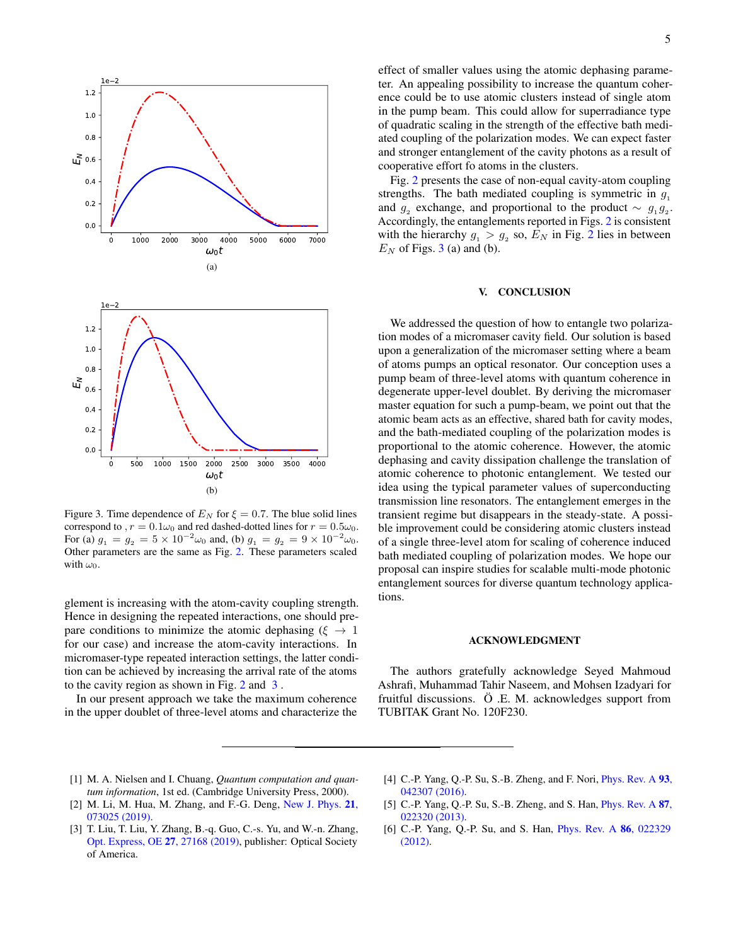

<span id="page-4-7"></span>Figure 3. Time dependence of  $E_N$  for  $\xi = 0.7$ . The blue solid lines correspond to *, r* =  $0.1\omega_0$  and red dashed-dotted lines for  $r = 0.5\omega_0$ . For (a)  $g_1 = g_2 = 5 \times 10^{-2} \omega_0$  and, (b)  $g_1 = g_2 = 9 \times 10^{-2} \omega_0$ . Other parameters are the same as Fig. [2.](#page-3-3) These parameters scaled with  $\omega_0$ .

glement is increasing with the atom-cavity coupling strength. Hence in designing the repeated interactions, one should prepare conditions to minimize the atomic dephasing ( $\xi \rightarrow 1$ for our case) and increase the atom-cavity interactions. In micromaser-type repeated interaction settings, the latter condition can be achieved by increasing the arrival rate of the atoms to the cavity region as shown in Fig. [2](#page-3-3) and [3](#page-4-7) .

In our present approach we take the maximum coherence in the upper doublet of three-level atoms and characterize the

effect of smaller values using the atomic dephasing parameter. An appealing possibility to increase the quantum coherence could be to use atomic clusters instead of single atom in the pump beam. This could allow for superradiance type of quadratic scaling in the strength of the effective bath mediated coupling of the polarization modes. We can expect faster and stronger entanglement of the cavity photons as a result of cooperative effort fo atoms in the clusters.

Fig. [2](#page-3-3) presents the case of non-equal cavity-atom coupling strengths. The bath mediated coupling is symmetric in  $g_1$ and  $g_2$  exchange, and proportional to the product  $\sim g_1 g_2$ . Accordingly, the entanglements reported in Figs. [2](#page-3-3) is consistent with the hierarchy  $g_1 > g_2$  $g_1 > g_2$  so,  $E_N$  in Fig. 2 lies in between *E<sup>N</sup>* of Figs. [3](#page-4-7) (a) and (b).

#### <span id="page-4-6"></span>V. CONCLUSION

We addressed the question of how to entangle two polarization modes of a micromaser cavity field. Our solution is based upon a generalization of the micromaser setting where a beam of atoms pumps an optical resonator. Our conception uses a pump beam of three-level atoms with quantum coherence in degenerate upper-level doublet. By deriving the micromaser master equation for such a pump-beam, we point out that the atomic beam acts as an effective, shared bath for cavity modes, and the bath-mediated coupling of the polarization modes is proportional to the atomic coherence. However, the atomic dephasing and cavity dissipation challenge the translation of atomic coherence to photonic entanglement. We tested our idea using the typical parameter values of superconducting transmission line resonators. The entanglement emerges in the transient regime but disappears in the steady-state. A possible improvement could be considering atomic clusters instead of a single three-level atom for scaling of coherence induced bath mediated coupling of polarization modes. We hope our proposal can inspire studies for scalable multi-mode photonic entanglement sources for diverse quantum technology applications.

#### ACKNOWLEDGMENT

The authors gratefully acknowledge Seyed Mahmoud Ashrafi, Muhammad Tahir Naseem, and Mohsen Izadyari for fruitful discussions. Ö .E. M. acknowledges support from TUBITAK Grant No. 120F230.

- <span id="page-4-0"></span>[1] M. A. Nielsen and I. Chuang, *Quantum computation and quantum information*, 1st ed. (Cambridge University Press, 2000).
- <span id="page-4-1"></span>[2] M. Li, M. Hua, M. Zhang, and F.-G. Deng, [New J. Phys.](https://doi.org/10.1088/1367-2630/ab2e1c) 21, [073025 \(2019\).](https://doi.org/10.1088/1367-2630/ab2e1c)
- <span id="page-4-2"></span>[3] T. Liu, T. Liu, Y. Zhang, B.-q. Guo, C.-s. Yu, and W.-n. Zhang, [Opt. Express, OE](https://doi.org/10.1364/OE.27.027168) 27, 27168 (2019), publisher: Optical Society of America.
- <span id="page-4-3"></span>[4] C.-P. Yang, Q.-P. Su, S.-B. Zheng, and F. Nori, [Phys. Rev. A](https://doi.org/10.1103/PhysRevA.93.042307) 93, [042307 \(2016\).](https://doi.org/10.1103/PhysRevA.93.042307)
- <span id="page-4-4"></span>[5] C.-P. Yang, Q.-P. Su, S.-B. Zheng, and S. Han, [Phys. Rev. A](https://doi.org/10.1103/PhysRevA.87.022320) 87, [022320 \(2013\).](https://doi.org/10.1103/PhysRevA.87.022320)
- <span id="page-4-5"></span>[6] C.-P. Yang, Q.-P. Su, and S. Han, [Phys. Rev. A](https://doi.org/10.1103/PhysRevA.86.022329) 86, 022329 [\(2012\).](https://doi.org/10.1103/PhysRevA.86.022329)